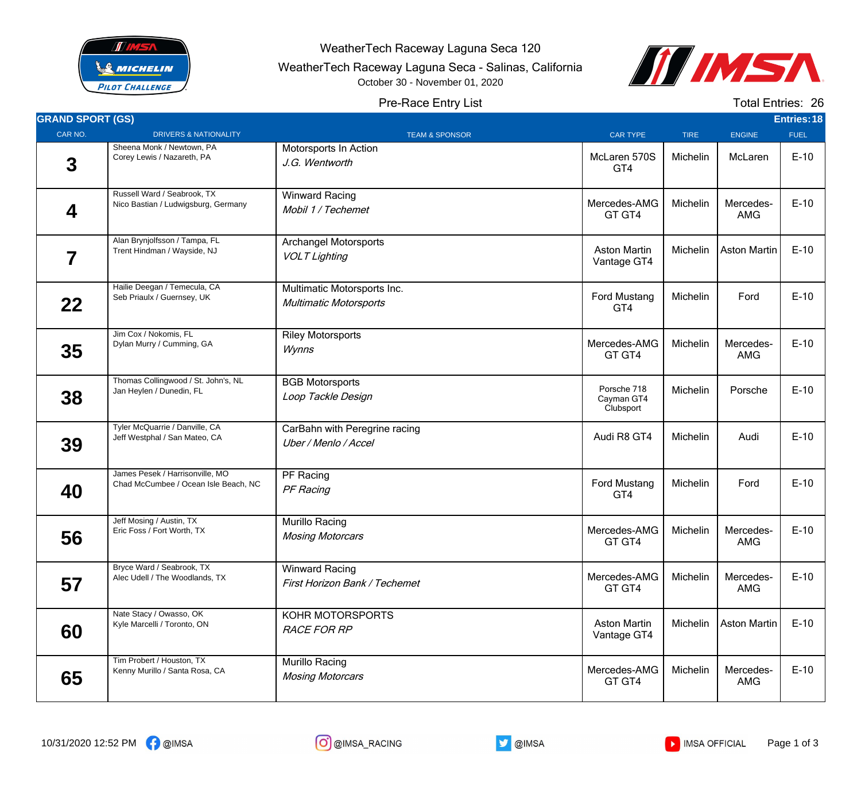

WeatherTech Raceway Laguna Seca 120

WeatherTech Raceway Laguna Seca - Salinas, California

October 30 - November 01, 2020



## Pre-Race Entry List

Total Entries: 26

| <b>GRAND SPORT (GS)</b> |                                                                         |                                                              |                                        |             |                         | Entries: 18 |
|-------------------------|-------------------------------------------------------------------------|--------------------------------------------------------------|----------------------------------------|-------------|-------------------------|-------------|
| CAR NO.                 | <b>DRIVERS &amp; NATIONALITY</b>                                        | <b>TEAM &amp; SPONSOR</b>                                    | CAR TYPE                               | <b>TIRE</b> | <b>ENGINE</b>           | <b>FUEL</b> |
| $\mathbf 3$             | Sheena Monk / Newtown, PA<br>Corey Lewis / Nazareth, PA                 | Motorsports In Action<br>J.G. Wentworth                      | McLaren 570S<br>GT4                    | Michelin    | McLaren                 | $E-10$      |
| 4                       | Russell Ward / Seabrook, TX<br>Nico Bastian / Ludwigsburg, Germany      | <b>Winward Racing</b><br>Mobil 1 / Techemet                  | Mercedes-AMG<br>GT GT4                 | Michelin    | Mercedes-<br><b>AMG</b> | $E-10$      |
| 7                       | Alan Brynjolfsson / Tampa, FL<br>Trent Hindman / Wayside, NJ            | <b>Archangel Motorsports</b><br><b>VOLT Lighting</b>         | <b>Aston Martin</b><br>Vantage GT4     | Michelin    | Aston Martin            | $E-10$      |
| 22                      | Hailie Deegan / Temecula, CA<br>Seb Priaulx / Guernsey, UK              | Multimatic Motorsports Inc.<br><b>Multimatic Motorsports</b> | Ford Mustang<br>GT4                    | Michelin    | Ford                    | $E-10$      |
| 35                      | Jim Cox / Nokomis, FL<br>Dylan Murry / Cumming, GA                      | <b>Riley Motorsports</b><br>Wynns                            | Mercedes-AMG<br>GT GT4                 | Michelin    | Mercedes-<br><b>AMG</b> | $E-10$      |
| 38                      | Thomas Collingwood / St. John's, NL<br>Jan Heylen / Dunedin, FL         | <b>BGB Motorsports</b><br>Loop Tackle Design                 | Porsche 718<br>Cayman GT4<br>Clubsport | Michelin    | Porsche                 | $E-10$      |
| 39                      | Tyler McQuarrie / Danville, CA<br>Jeff Westphal / San Mateo, CA         | CarBahn with Peregrine racing<br>Uber / Menlo / Accel        | Audi R8 GT4                            | Michelin    | Audi                    | $E-10$      |
| 40                      | James Pesek / Harrisonville, MO<br>Chad McCumbee / Ocean Isle Beach, NC | PF Racing<br>PF Racing                                       | <b>Ford Mustang</b><br>GT4             | Michelin    | Ford                    | $E-10$      |
| 56                      | Jeff Mosing / Austin, TX<br>Eric Foss / Fort Worth, TX                  | Murillo Racing<br><b>Mosing Motorcars</b>                    | Mercedes-AMG<br>GT GT4                 | Michelin    | Mercedes-<br><b>AMG</b> | $E-10$      |
| 57                      | Bryce Ward / Seabrook, TX<br>Alec Udell / The Woodlands, TX             | <b>Winward Racing</b><br>First Horizon Bank / Techemet       | Mercedes-AMG<br>GT GT4                 | Michelin    | Mercedes-<br>AMG        | $E-10$      |
| 60                      | Nate Stacy / Owasso, OK<br>Kyle Marcelli / Toronto, ON                  | KOHR MOTORSPORTS<br><b>RACE FOR RP</b>                       | <b>Aston Martin</b><br>Vantage GT4     | Michelin    | <b>Aston Martin</b>     | $E-10$      |
| 65                      | Tim Probert / Houston, TX<br>Kenny Murillo / Santa Rosa, CA             | Murillo Racing<br><b>Mosing Motorcars</b>                    | Mercedes-AMG<br>GT GT4                 | Michelin    | Mercedes-<br>AMG        | $E-10$      |



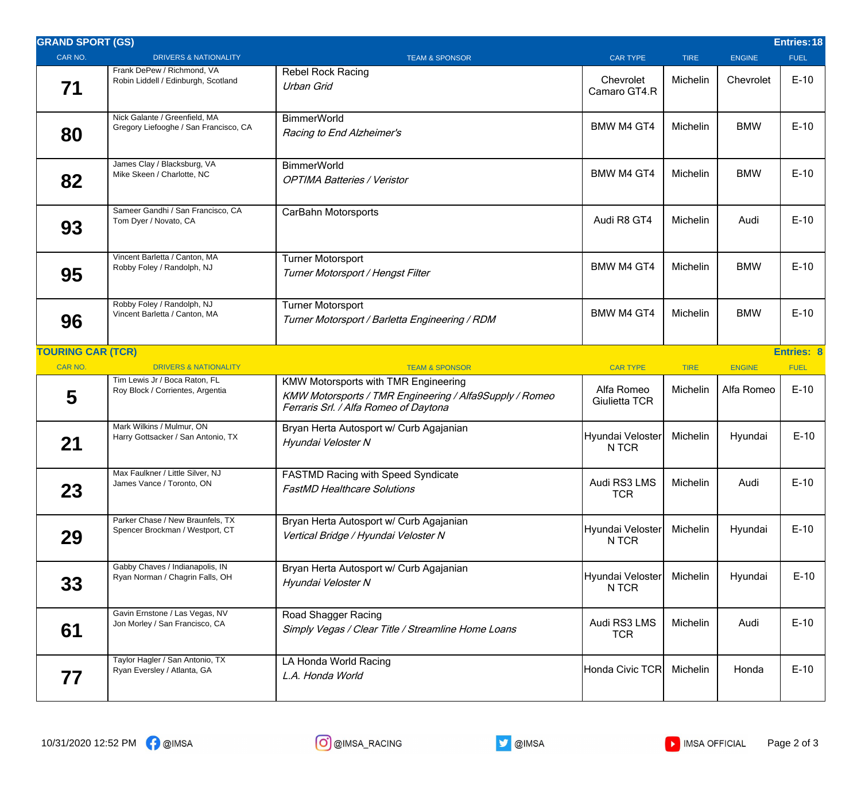| <b>GRAND SPORT (GS)</b>  |                                                                        |                                                                                                                                                 |                             |             |               | Entries: 18 |
|--------------------------|------------------------------------------------------------------------|-------------------------------------------------------------------------------------------------------------------------------------------------|-----------------------------|-------------|---------------|-------------|
| CAR NO.                  | <b>DRIVERS &amp; NATIONALITY</b>                                       | <b>TEAM &amp; SPONSOR</b>                                                                                                                       | <b>CAR TYPE</b>             | <b>TIRE</b> | <b>ENGINE</b> | <b>FUEL</b> |
| 71                       | Frank DePew / Richmond, VA<br>Robin Liddell / Edinburgh, Scotland      | <b>Rebel Rock Racing</b><br><b>Urban Grid</b>                                                                                                   | Chevrolet<br>Camaro GT4.R   | Michelin    | Chevrolet     | $E-10$      |
| 80                       | Nick Galante / Greenfield, MA<br>Gregory Liefooghe / San Francisco, CA | <b>BimmerWorld</b><br>Racing to End Alzheimer's                                                                                                 | <b>BMW M4 GT4</b>           | Michelin    | <b>BMW</b>    | $E-10$      |
| 82                       | James Clay / Blacksburg, VA<br>Mike Skeen / Charlotte, NC              | <b>BimmerWorld</b><br><b>OPTIMA Batteries / Veristor</b>                                                                                        | <b>BMW M4 GT4</b>           | Michelin    | <b>BMW</b>    | $E-10$      |
| 93                       | Sameer Gandhi / San Francisco, CA<br>Tom Dyer / Novato, CA             | CarBahn Motorsports                                                                                                                             | Audi R8 GT4                 | Michelin    | Audi          | $E-10$      |
| 95                       | Vincent Barletta / Canton, MA<br>Robby Foley / Randolph, NJ            | <b>Turner Motorsport</b><br>Turner Motorsport / Hengst Filter                                                                                   | BMW M4 GT4                  | Michelin    | <b>BMW</b>    | $E-10$      |
| 96                       | Robby Foley / Randolph, NJ<br>Vincent Barletta / Canton, MA            | <b>Turner Motorsport</b><br>Turner Motorsport / Barletta Engineering / RDM                                                                      | <b>BMW M4 GT4</b>           | Michelin    | <b>BMW</b>    | $E-10$      |
| <b>TOURING CAR (TCR)</b> |                                                                        |                                                                                                                                                 |                             |             |               | Entries: 8  |
| <b>CAR NO.</b>           | <b>DRIVERS &amp; NATIONALITY</b><br>Tim Lewis Jr / Boca Raton, FL      | <b>TEAM &amp; SPONSOR</b>                                                                                                                       | <b>CAR TYPE</b>             | <b>TIRE</b> | <b>ENGINE</b> | <b>FUEL</b> |
| 5                        | Roy Block / Corrientes, Argentia                                       | <b>KMW Motorsports with TMR Engineering</b><br>KMW Motorsports / TMR Engineering / Alfa9Supply / Romeo<br>Ferraris Srl. / Alfa Romeo of Daytona | Alfa Romeo<br>Giulietta TCR | Michelin    | Alfa Romeo    | $E-10$      |
| 21                       | Mark Wilkins / Mulmur, ON<br>Harry Gottsacker / San Antonio, TX        | Bryan Herta Autosport w/ Curb Agajanian<br>Hyundai Veloster N                                                                                   | Hyundai Veloster<br>N TCR   | Michelin    | Hyundai       | $E-10$      |
| 23                       | Max Faulkner / Little Silver, NJ<br>James Vance / Toronto, ON          | <b>FASTMD Racing with Speed Syndicate</b><br><b>FastMD Healthcare Solutions</b>                                                                 | Audi RS3 LMS<br><b>TCR</b>  | Michelin    | Audi          | $E-10$      |
| 29                       | Parker Chase / New Braunfels, TX<br>Spencer Brockman / Westport, CT    | Bryan Herta Autosport w/ Curb Agajanian<br>Vertical Bridge / Hyundai Veloster N                                                                 | Hyundai Veloster<br>N TCR   | Michelin    | Hyundai       | $E-10$      |
| 33                       | Gabby Chaves / Indianapolis, IN<br>Ryan Norman / Chagrin Falls, OH     | Bryan Herta Autosport w/ Curb Agajanian<br>Hyundai Veloster N                                                                                   | Hyundai Veloster<br>N TCR   | Michelin    | Hyundai       | $E-10$      |
| 61                       | Gavin Ernstone / Las Vegas, NV<br>Jon Morley / San Francisco, CA       | Road Shagger Racing<br>Simply Vegas / Clear Title / Streamline Home Loans                                                                       | Audi RS3 LMS<br><b>TCR</b>  | Michelin    | Audi          | $E-10$      |
| 77                       | Taylor Hagler / San Antonio, TX<br>Ryan Eversley / Atlanta, GA         | LA Honda World Racing<br>L.A. Honda World                                                                                                       | Honda Civic TCR             | Michelin    | Honda         | $E-10$      |